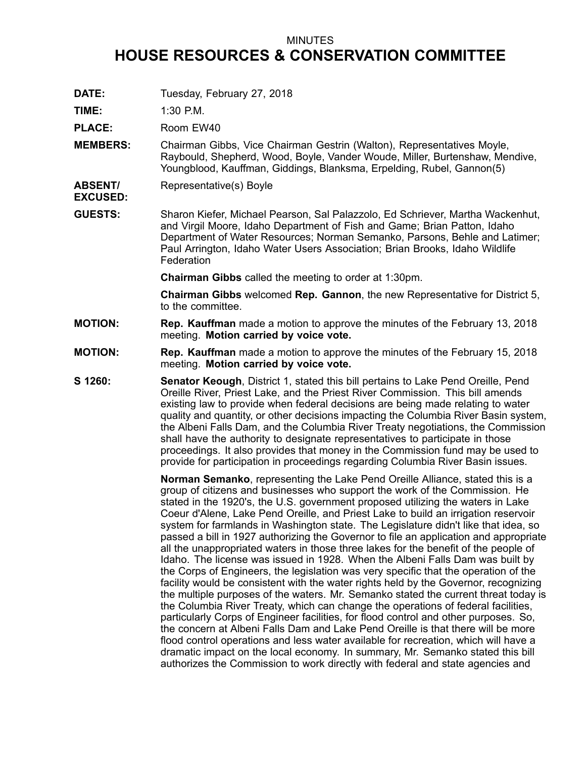## MINUTES

## **HOUSE RESOURCES & CONSERVATION COMMITTEE**

**DATE:** Tuesday, February 27, 2018

**TIME:** 1:30 P.M.

PLACE: Room EW40

- **MEMBERS:** Chairman Gibbs, Vice Chairman Gestrin (Walton), Representatives Moyle, Raybould, Shepherd, Wood, Boyle, Vander Woude, Miller, Burtenshaw, Mendive, Youngblood, Kauffman, Giddings, Blanksma, Erpelding, Rubel, Gannon(5)
- **ABSENT/** Representative(s) Boyle
- **EXCUSED:**
- **GUESTS:** Sharon Kiefer, Michael Pearson, Sal Palazzolo, Ed Schriever, Martha Wackenhut, and Virgil Moore, Idaho Department of Fish and Game; Brian Patton, Idaho Department of Water Resources; Norman Semanko, Parsons, Behle and Latimer; Paul Arrington, Idaho Water Users Association; Brian Brooks, Idaho Wildlife **Federation**

**Chairman Gibbs** called the meeting to order at 1:30pm.

**Chairman Gibbs** welcomed **Rep. Gannon**, the new Representative for District 5, to the committee.

- **MOTION: Rep. Kauffman** made <sup>a</sup> motion to approve the minutes of the February 13, 2018 meeting. **Motion carried by voice vote.**
- **MOTION: Rep. Kauffman** made <sup>a</sup> motion to approve the minutes of the February 15, 2018 meeting. **Motion carried by voice vote.**
- **S 1260: Senator Keough**, District 1, stated this bill pertains to Lake Pend Oreille, Pend Oreille River, Priest Lake, and the Priest River Commission. This bill amends existing law to provide when federal decisions are being made relating to water quality and quantity, or other decisions impacting the Columbia River Basin system, the Albeni Falls Dam, and the Columbia River Treaty negotiations, the Commission shall have the authority to designate representatives to participate in those proceedings. It also provides that money in the Commission fund may be used to provide for participation in proceedings regarding Columbia River Basin issues.

**Norman Semanko**, representing the Lake Pend Oreille Alliance, stated this is <sup>a</sup> group of citizens and businesses who support the work of the Commission. He stated in the 1920's, the U.S. government proposed utilizing the waters in Lake Coeur d'Alene, Lake Pend Oreille, and Priest Lake to build an irrigation reservoir system for farmlands in Washington state. The Legislature didn't like that idea, so passed <sup>a</sup> bill in 1927 authorizing the Governor to file an application and appropriate all the unappropriated waters in those three lakes for the benefit of the people of Idaho. The license was issued in 1928. When the Albeni Falls Dam was built by the Corps of Engineers, the legislation was very specific that the operation of the facility would be consistent with the water rights held by the Governor, recognizing the multiple purposes of the waters. Mr. Semanko stated the current threat today is the Columbia River Treaty, which can change the operations of federal facilities, particularly Corps of Engineer facilities, for flood control and other purposes. So, the concern at Albeni Falls Dam and Lake Pend Oreille is that there will be more flood control operations and less water available for recreation, which will have <sup>a</sup> dramatic impact on the local economy. In summary, Mr. Semanko stated this bill authorizes the Commission to work directly with federal and state agencies and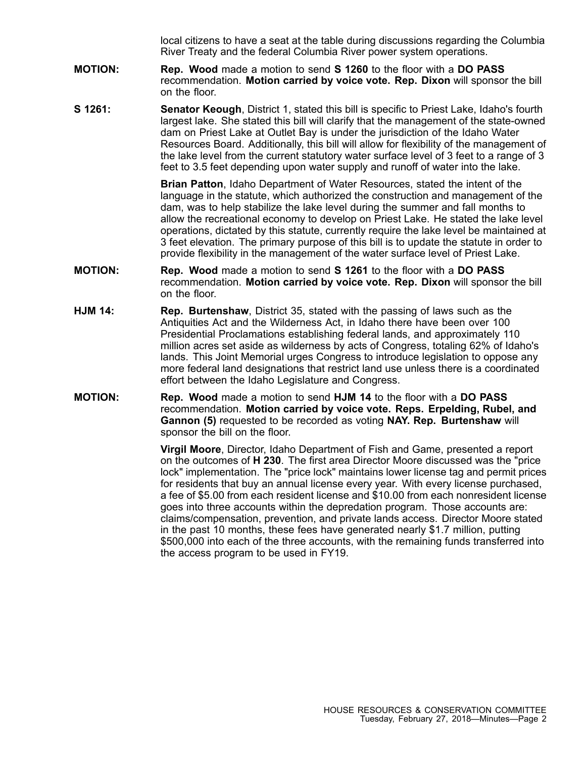local citizens to have <sup>a</sup> seat at the table during discussions regarding the Columbia River Treaty and the federal Columbia River power system operations.

- **MOTION: Rep. Wood** made <sup>a</sup> motion to send **S 1260** to the floor with <sup>a</sup> **DO PASS** recommendation. **Motion carried by voice vote. Rep. Dixon** will sponsor the bill on the floor.
- **S 1261: Senator Keough**, District 1, stated this bill is specific to Priest Lake, Idaho's fourth largest lake. She stated this bill will clarify that the management of the state-owned dam on Priest Lake at Outlet Bay is under the jurisdiction of the Idaho Water Resources Board. Additionally, this bill will allow for flexibility of the management of the lake level from the current statutory water surface level of 3 feet to <sup>a</sup> range of 3 feet to 3.5 feet depending upon water supply and runoff of water into the lake.

**Brian Patton**, Idaho Department of Water Resources, stated the intent of the language in the statute, which authorized the construction and management of the dam, was to help stabilize the lake level during the summer and fall months to allow the recreational economy to develop on Priest Lake. He stated the lake level operations, dictated by this statute, currently require the lake level be maintained at 3 feet elevation. The primary purpose of this bill is to update the statute in order to provide flexibility in the management of the water surface level of Priest Lake.

- **MOTION: Rep. Wood** made <sup>a</sup> motion to send **S 1261** to the floor with <sup>a</sup> **DO PASS** recommendation. **Motion carried by voice vote. Rep. Dixon** will sponsor the bill on the floor.
- **HJM 14: Rep. Burtenshaw**, District 35, stated with the passing of laws such as the Antiquities Act and the Wilderness Act, in Idaho there have been over 100 Presidential Proclamations establishing federal lands, and approximately 110 million acres set aside as wilderness by acts of Congress, totaling 62% of Idaho's lands. This Joint Memorial urges Congress to introduce legislation to oppose any more federal land designations that restrict land use unless there is <sup>a</sup> coordinated effort between the Idaho Legislature and Congress.
- **MOTION: Rep. Wood** made <sup>a</sup> motion to send **HJM 14** to the floor with <sup>a</sup> **DO PASS** recommendation. **Motion carried by voice vote. Reps. Erpelding, Rubel, and Gannon (5)** requested to be recorded as voting **NAY. Rep. Burtenshaw** will sponsor the bill on the floor.

**Virgil Moore**, Director, Idaho Department of Fish and Game, presented <sup>a</sup> report on the outcomes of **H 230**. The first area Director Moore discussed was the "price lock" implementation. The "price lock" maintains lower license tag and permit prices for residents that buy an annual license every year. With every license purchased, <sup>a</sup> fee of \$5.00 from each resident license and \$10.00 from each nonresident license goes into three accounts within the depredation program. Those accounts are: claims/compensation, prevention, and private lands access. Director Moore stated in the past 10 months, these fees have generated nearly \$1.7 million, putting \$500,000 into each of the three accounts, with the remaining funds transferred into the access program to be used in FY19.